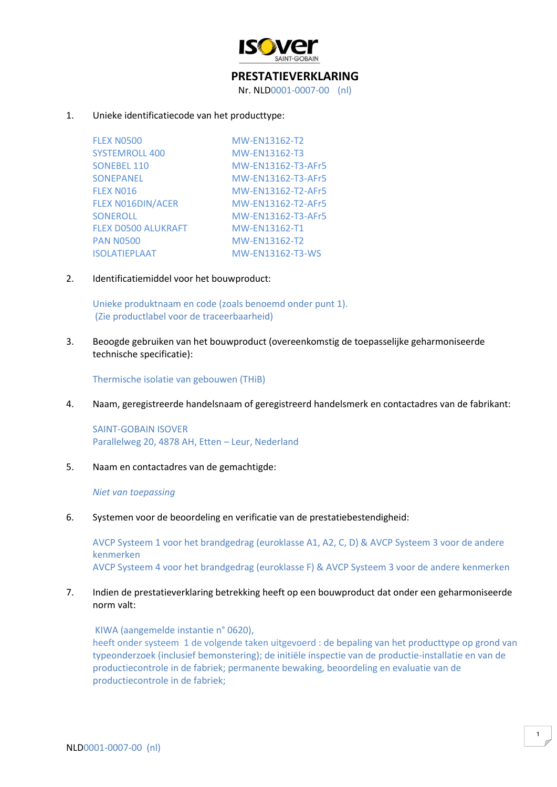

# **PRESTATIEVERKLARING**

Nr. NLD0001-0007-00 (nl)

## 1. Unieke identificatiecode van het producttype:

| <b>FLEX N0500</b>        | MW-EN13162-T2      |
|--------------------------|--------------------|
| <b>SYSTEMROLL 400</b>    | MW-EN13162-T3      |
| <b>SONEBEL 110</b>       | MW-EN13162-T3-AFr5 |
| <b>SONEPANEL</b>         | MW-EN13162-T3-AFr5 |
| <b>FLEX NO16</b>         | MW-EN13162-T2-AFr5 |
| <b>FLEX NO16DIN/ACER</b> | MW-EN13162-T2-AFr5 |
| <b>SONEROLL</b>          | MW-EN13162-T3-AFr5 |
| FLEX D0500 ALUKRAFT      | MW-EN13162-T1      |
| <b>PAN N0500</b>         | MW-EN13162-T2      |
| <b>ISOLATIEPLAAT</b>     | MW-EN13162-T3-WS   |

2. Identificatiemiddel voor het bouwproduct:

Unieke produktnaam en code (zoals benoemd onder punt 1). (Zie productlabel voor de traceerbaarheid)

3. Beoogde gebruiken van het bouwproduct (overeenkomstig de toepasselijke geharmoniseerde technische specificatie):

Thermische isolatie van gebouwen (THiB)

4. Naam, geregistreerde handelsnaam of geregistreerd handelsmerk en contactadres van de fabrikant:

SAINT-GOBAIN ISOVER Parallelweg 20, 4878 AH, Etten – Leur, Nederland

5. Naam en contactadres van de gemachtigde:

#### *Niet van toepassing*

6. Systemen voor de beoordeling en verificatie van de prestatiebestendigheid:

AVCP Systeem 1 voor het brandgedrag (euroklasse A1, A2, C, D) & AVCP Systeem 3 voor de andere kenmerken AVCP Systeem 4 voor het brandgedrag (euroklasse F) & AVCP Systeem 3 voor de andere kenmerken

# 7. Indien de prestatieverklaring betrekking heeft op een bouwproduct dat onder een geharmoniseerde norm valt:

KIWA (aangemelde instantie n° 0620), heeft onder systeem 1 de volgende taken uitgevoerd : de bepaling van het producttype op grond van typeonderzoek (inclusief bemonstering); de initiële inspectie van de productie-installatie en van de productiecontrole in de fabriek; permanente bewaking, beoordeling en evaluatie van de productiecontrole in de fabriek;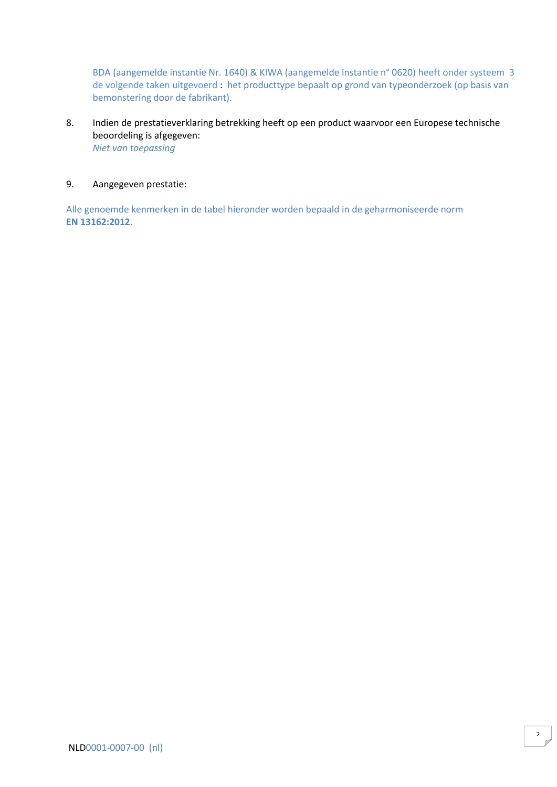BDA (aangemelde instantie Nr. 1640) & KIWA (aangemelde instantie n° 0620) heeft onder systeem 3 de volgende taken uitgevoerd : het producttype bepaalt op grond van typeonderzoek (op basis van bemonstering door de fabrikant).

8. Indien de prestatieverklaring betrekking heeft op een product waarvoor een Europese technische beoordeling is afgegeven: *Niet van toepassing*

## 9. Aangegeven prestatie:

Alle genoemde kenmerken in de tabel hieronder worden bepaald in de geharmoniseerde norm **EN 13162:2012**.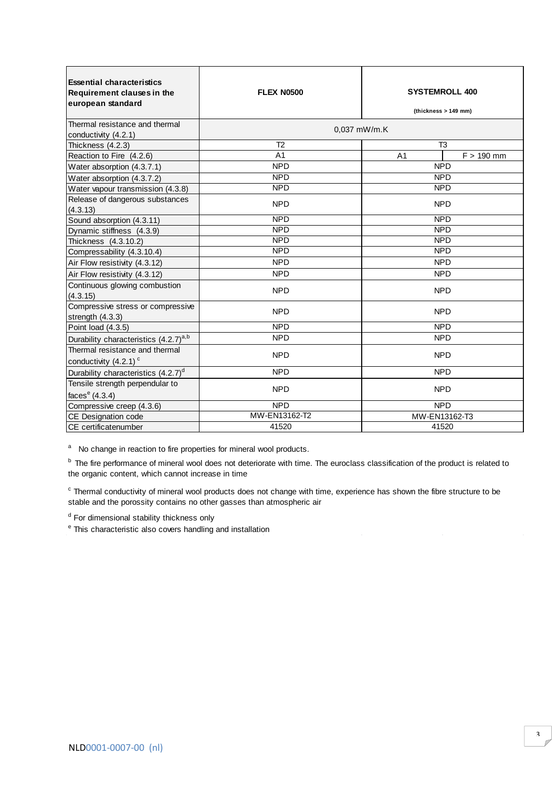| <b>Essential characteristics</b><br><b>Requirement clauses in the</b><br>european standard | <b>FLEX N0500</b> | <b>SYSTEMROLL 400</b><br>(thickness > 149 mm) |
|--------------------------------------------------------------------------------------------|-------------------|-----------------------------------------------|
| Thermal resistance and thermal<br>conductivity (4.2.1)                                     |                   | $0.037$ mW/m.K                                |
| Thickness (4.2.3)                                                                          | T <sub>2</sub>    | T <sub>3</sub>                                |
| Reaction to Fire (4.2.6)                                                                   | A <sub>1</sub>    | $F > 190$ mm<br>A <sub>1</sub>                |
| Water absorption (4.3.7.1)                                                                 | <b>NPD</b>        | <b>NPD</b>                                    |
| Water absorption (4.3.7.2)                                                                 | <b>NPD</b>        | <b>NPD</b>                                    |
| Water vapour transmission (4.3.8)                                                          | <b>NPD</b>        | <b>NPD</b>                                    |
| Release of dangerous substances<br>(4.3.13)                                                | <b>NPD</b>        | <b>NPD</b>                                    |
| Sound absorption (4.3.11)                                                                  | <b>NPD</b>        | <b>NPD</b>                                    |
| Dynamic stiffness (4.3.9)                                                                  | <b>NPD</b>        | <b>NPD</b>                                    |
| Thickness (4.3.10.2)                                                                       | <b>NPD</b>        | <b>NPD</b>                                    |
| Compressability (4.3.10.4)                                                                 | <b>NPD</b>        | <b>NPD</b>                                    |
| Air Flow resistivity (4.3.12)                                                              | <b>NPD</b>        | <b>NPD</b>                                    |
| Air Flow resistivity (4.3.12)                                                              | <b>NPD</b>        | <b>NPD</b>                                    |
| Continuous glowing combustion<br>(4.3.15)                                                  | <b>NPD</b>        | <b>NPD</b>                                    |
| Compressive stress or compressive<br>strength (4.3.3)                                      | <b>NPD</b>        | <b>NPD</b>                                    |
| Point load (4.3.5)                                                                         | <b>NPD</b>        | <b>NPD</b>                                    |
| Durability characteristics (4.2.7) <sup>a,b</sup>                                          | <b>NPD</b>        | <b>NPD</b>                                    |
| Thermal resistance and thermal<br>conductivity (4.2.1) <sup>c</sup>                        | <b>NPD</b>        | <b>NPD</b>                                    |
| Durability characteristics (4.2.7) <sup>d</sup>                                            | <b>NPD</b>        | <b>NPD</b>                                    |
| Tensile strength perpendular to<br>faces $e(4.3.4)$                                        | <b>NPD</b>        | <b>NPD</b>                                    |
| Compressive creep (4.3.6)                                                                  | <b>NPD</b>        | <b>NPD</b>                                    |
| CE Designation code                                                                        | MW-EN13162-T2     | MW-EN13162-T3                                 |
| <b>ICE</b> certificatenumber                                                               | 41520             | 41520                                         |

<sup>a</sup> No change in reaction to fire properties for mineral wool products.<br>
<sup>b</sup> The fire performance of mineral wool does not deteriorate with time. The organic content, which cannot increase in time<br>
<sup>c</sup> Thermal conductivit <sup>b</sup> The fire performance of mineral wool does not deteriorate with time. The euroclass classification of the product is related to the organic content, which cannot increase in time

stable and the porossity contains no other gasses than atmospheric air Thermal conductivity of mineral wool products does not change with time, experience has shown the fibre structure to be

<sup>d</sup> For dimensional stability thickness only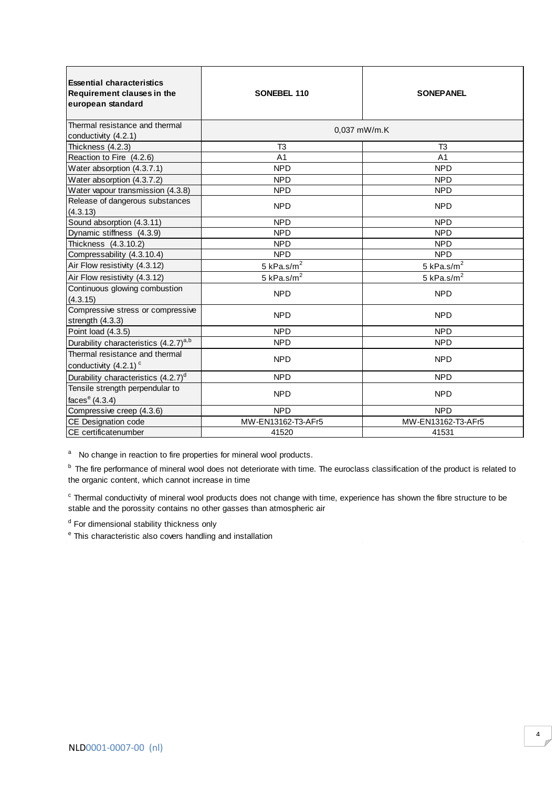| <b>Essential characteristics</b><br><b>Requirement clauses in the</b><br>european standard | SONEBEL 110              | <b>SONEPANEL</b>   |
|--------------------------------------------------------------------------------------------|--------------------------|--------------------|
| Thermal resistance and thermal<br>conductivity (4.2.1)                                     | 0.037 mW/m.K             |                    |
| Thickness (4.2.3)                                                                          | T3                       | T <sub>3</sub>     |
| Reaction to Fire (4.2.6)                                                                   | A <sub>1</sub>           | A <sub>1</sub>     |
| Water absorption (4.3.7.1)                                                                 | <b>NPD</b>               | <b>NPD</b>         |
| Water absorption (4.3.7.2)                                                                 | <b>NPD</b>               | <b>NPD</b>         |
| Water vapour transmission (4.3.8)                                                          | <b>NPD</b>               | <b>NPD</b>         |
| Release of dangerous substances<br>(4.3.13)                                                | <b>NPD</b>               | <b>NPD</b>         |
| Sound absorption (4.3.11)                                                                  | <b>NPD</b>               | <b>NPD</b>         |
| Dynamic stiffness (4.3.9)                                                                  | <b>NPD</b>               | <b>NPD</b>         |
| Thickness (4.3.10.2)                                                                       | <b>NPD</b>               | <b>NPD</b>         |
| Compressability (4.3.10.4)                                                                 | <b>NPD</b>               | <b>NPD</b>         |
| Air Flow resistivity (4.3.12)                                                              | $5$ kPa.s/m <sup>2</sup> | 5 kPa.s/ $m2$      |
| Air Flow resistivity (4.3.12)                                                              | 5 kPa.s/ $m^2$           | 5 kPa.s/ $m2$      |
| Continuous glowing combustion<br>(4.3.15)                                                  | <b>NPD</b>               | <b>NPD</b>         |
| Compressive stress or compressive<br>strength (4.3.3)                                      | <b>NPD</b>               | <b>NPD</b>         |
| Point load (4.3.5)                                                                         | <b>NPD</b>               | <b>NPD</b>         |
| Durability characteristics (4.2.7) <sup>a,b</sup>                                          | <b>NPD</b>               | <b>NPD</b>         |
| Thermal resistance and thermal<br>conductivity $(4.2.1)$ <sup>c</sup>                      | <b>NPD</b>               | <b>NPD</b>         |
| Durability characteristics (4.2.7) <sup>d</sup>                                            | <b>NPD</b>               | <b>NPD</b>         |
| Tensile strength perpendular to<br>faces $e(4.3.4)$                                        | <b>NPD</b>               | <b>NPD</b>         |
| Compressive creep (4.3.6)                                                                  | <b>NPD</b>               | <b>NPD</b>         |
| CE Designation code                                                                        | MW-EN13162-T3-AFr5       | MW-EN13162-T3-AFr5 |
| <b>ICE</b> certificatenumber                                                               | 41520                    | 41531              |

<sup>b</sup> The fire performance of mineral wool does not deteriorate with time. The euroclass classification of the product is related to the organic content, which cannot increase in time

 $\textdegree$  Thermal conductivity of mineral wool products does not stable and the porossity contains no other gasses than a<br> $\textdegree$  To dimensional stability thickness only<br> $\textdegree$  This characteristic also covers handling and instal Thermal conductivity of mineral wool products does not change with time, experience has shown the fibre structure to be stable and the porossity contains no other gasses than atmospheric air

<sup>d</sup> For dimensional stability thickness only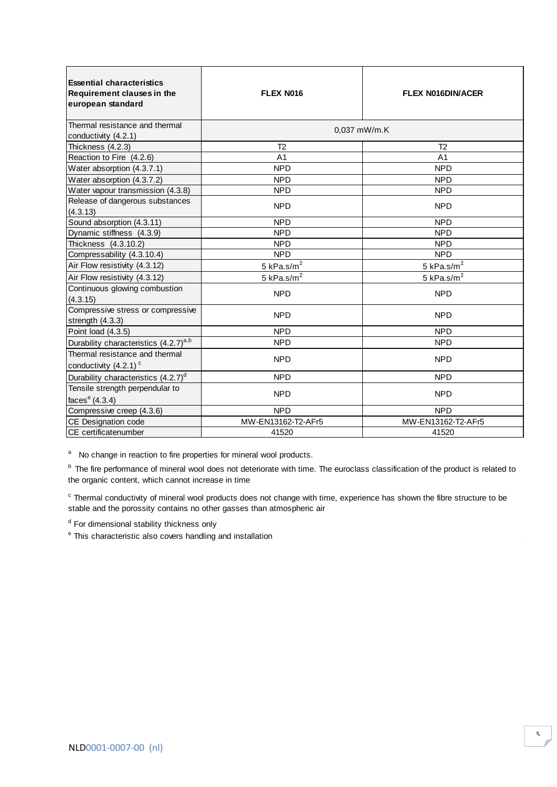| <b>Essential characteristics</b><br>Requirement clauses in the<br>european standard | FLEX N016          | <b>FLEX N016DIN/ACER</b> |
|-------------------------------------------------------------------------------------|--------------------|--------------------------|
| Thermal resistance and thermal<br>conductivity (4.2.1)                              | 0.037 mW/m.K       |                          |
| Thickness (4.2.3)                                                                   | T <sub>2</sub>     | T <sub>2</sub>           |
| Reaction to Fire (4.2.6)                                                            | A <sub>1</sub>     | A <sub>1</sub>           |
| Water absorption (4.3.7.1)                                                          | <b>NPD</b>         | <b>NPD</b>               |
| Water absorption (4.3.7.2)                                                          | <b>NPD</b>         | <b>NPD</b>               |
| Water vapour transmission (4.3.8)                                                   | <b>NPD</b>         | <b>NPD</b>               |
| Release of dangerous substances<br>(4.3.13)                                         | <b>NPD</b>         | <b>NPD</b>               |
| Sound absorption (4.3.11)                                                           | <b>NPD</b>         | <b>NPD</b>               |
| Dynamic stiffness (4.3.9)                                                           | <b>NPD</b>         | <b>NPD</b>               |
| Thickness (4.3.10.2)                                                                | <b>NPD</b>         | <b>NPD</b>               |
| Compressability (4.3.10.4)                                                          | <b>NPD</b>         | <b>NPD</b>               |
| Air Flow resistivity (4.3.12)                                                       | 5 kPa.s/ $m2$      | 5 kPa.s/ $m2$            |
| Air Flow resistivity (4.3.12)                                                       | 5 kPa.s/ $m2$      | 5 kPa.s/ $m2$            |
| Continuous glowing combustion<br>(4.3.15)                                           | <b>NPD</b>         | <b>NPD</b>               |
| Compressive stress or compressive<br>strength (4.3.3)                               | <b>NPD</b>         | <b>NPD</b>               |
| Point load (4.3.5)                                                                  | <b>NPD</b>         | <b>NPD</b>               |
| Durability characteristics (4.2.7) <sup>a,b</sup>                                   | <b>NPD</b>         | <b>NPD</b>               |
| Thermal resistance and thermal<br>conductivity $(4.2.1)$ <sup>c</sup>               | <b>NPD</b>         | <b>NPD</b>               |
| Durability characteristics (4.2.7) <sup>d</sup>                                     | <b>NPD</b>         | <b>NPD</b>               |
| Tensile strength perpendular to<br>faces $e(4.3.4)$                                 | <b>NPD</b>         | <b>NPD</b>               |
| Compressive creep (4.3.6)                                                           | <b>NPD</b>         | <b>NPD</b>               |
| CE Designation code                                                                 | MW-EN13162-T2-AFr5 | MW-EN13162-T2-AFr5       |
| CE certificatenumber                                                                | 41520              | 41520                    |
|                                                                                     |                    |                          |

<sup>b</sup> The fire performance of mineral wool does not deteriorate with time. The euroclass classification of the product is related to the organic content, which cannot increase in time

 $\textdegree$  Thermal conductivity of mineral wool products does not stable and the porossity contains no other gasses than a<br> $\textdegree$  To dimensional stability thickness only<br> $\textdegree$  This characteristic also covers handling and instal Thermal conductivity of mineral wool products does not change with time, experience has shown the fibre structure to be stable and the porossity contains no other gasses than atmospheric air

<sup>d</sup> For dimensional stability thickness only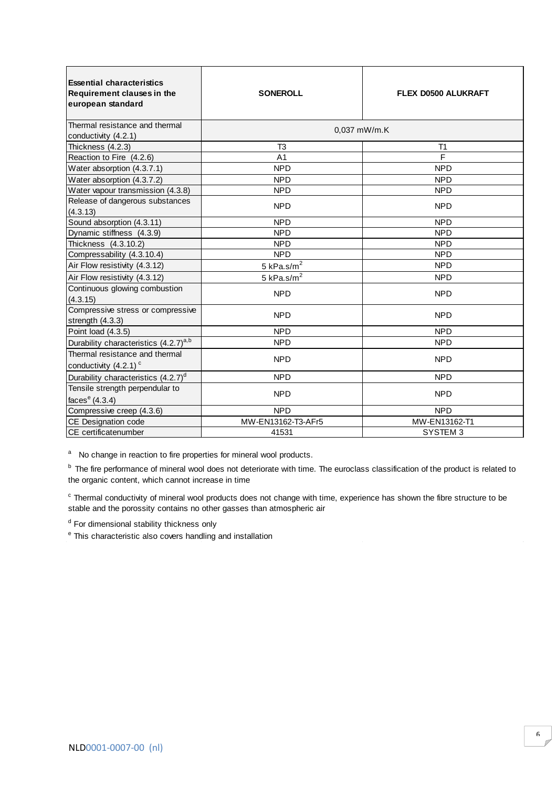| <b>Essential characteristics</b><br>Requirement clauses in the<br>european standard | <b>SONEROLL</b>    | <b>FLEX D0500 ALUKRAFT</b> |
|-------------------------------------------------------------------------------------|--------------------|----------------------------|
| Thermal resistance and thermal<br>conductivity (4.2.1)                              | 0.037 mW/m.K       |                            |
| Thickness (4.2.3)                                                                   | T <sub>3</sub>     | T <sub>1</sub>             |
| Reaction to Fire (4.2.6)                                                            | A <sub>1</sub>     | F                          |
| Water absorption (4.3.7.1)                                                          | <b>NPD</b>         | <b>NPD</b>                 |
| Water absorption (4.3.7.2)                                                          | <b>NPD</b>         | <b>NPD</b>                 |
| Water vapour transmission (4.3.8)                                                   | <b>NPD</b>         | <b>NPD</b>                 |
| Release of dangerous substances<br>(4.3.13)                                         | <b>NPD</b>         | <b>NPD</b>                 |
| Sound absorption (4.3.11)                                                           | <b>NPD</b>         | <b>NPD</b>                 |
| Dynamic stiffness (4.3.9)                                                           | <b>NPD</b>         | <b>NPD</b>                 |
| Thickness (4.3.10.2)                                                                | <b>NPD</b>         | <b>NPD</b>                 |
| Compressability (4.3.10.4)                                                          | <b>NPD</b>         | <b>NPD</b>                 |
| Air Flow resistivity (4.3.12)                                                       | 5 kPa.s/ $m2$      | <b>NPD</b>                 |
| Air Flow resistivity (4.3.12)                                                       | 5 kPa.s/ $m2$      | <b>NPD</b>                 |
| Continuous glowing combustion<br>(4.3.15)                                           | <b>NPD</b>         | <b>NPD</b>                 |
| Compressive stress or compressive<br>strength (4.3.3)                               | <b>NPD</b>         | <b>NPD</b>                 |
| Point load (4.3.5)                                                                  | <b>NPD</b>         | <b>NPD</b>                 |
| Durability characteristics (4.2.7) <sup>a,b</sup>                                   | <b>NPD</b>         | <b>NPD</b>                 |
| Thermal resistance and thermal<br>conductivity $(4.2.1)$ <sup>c</sup>               | <b>NPD</b>         | <b>NPD</b>                 |
| Durability characteristics (4.2.7) <sup>d</sup>                                     | <b>NPD</b>         | <b>NPD</b>                 |
| Tensile strength perpendular to                                                     | <b>NPD</b>         | <b>NPD</b>                 |
| faces $e(4.3.4)$                                                                    |                    |                            |
| Compressive creep (4.3.6)                                                           | <b>NPD</b>         | <b>NPD</b>                 |
| CE Designation code                                                                 | MW-EN13162-T3-AFr5 | MW-EN13162-T1              |
| CE certificatenumber                                                                | 41531              | SYSTEM <sub>3</sub>        |

<sup>b</sup> The fire performance of mineral wool does not deteriorate with time. The euroclass classification of the product is related to the organic content, which cannot increase in time

 $\textdegree$  Thermal conductivity of mineral wool products does not stable and the porossity contains no other gasses than a<br> $\textdegree$  To dimensional stability thickness only<br> $\textdegree$  This characteristic also covers handling and instal Thermal conductivity of mineral wool products does not change with time, experience has shown the fibre structure to be stable and the porossity contains no other gasses than atmospheric air

<sup>d</sup> For dimensional stability thickness only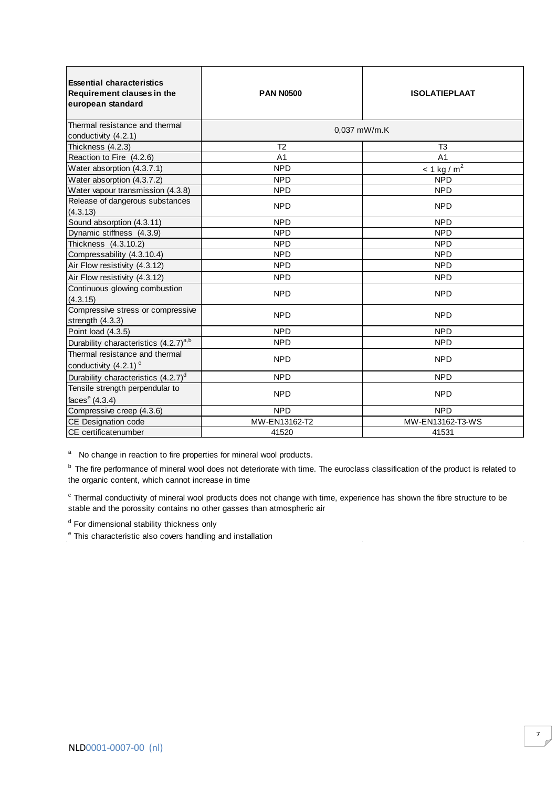| <b>Essential characteristics</b><br>Requirement clauses in the<br>european standard | <b>PAN N0500</b>                 | <b>ISOLATIEPLAAT</b>             |
|-------------------------------------------------------------------------------------|----------------------------------|----------------------------------|
| Thermal resistance and thermal                                                      | 0.037 mW/m.K                     |                                  |
| conductivity (4.2.1)                                                                |                                  |                                  |
| Thickness (4.2.3)                                                                   | T <sub>2</sub><br>A <sub>1</sub> | T <sub>3</sub><br>A <sub>1</sub> |
| Reaction to Fire (4.2.6)                                                            | <b>NPD</b>                       |                                  |
| Water absorption (4.3.7.1)                                                          |                                  | $\leq 1$ kg / m <sup>2</sup>     |
| Water absorption (4.3.7.2)                                                          | <b>NPD</b>                       | <b>NPD</b>                       |
| Water vapour transmission (4.3.8)                                                   | <b>NPD</b>                       | <b>NPD</b>                       |
| Release of dangerous substances<br>(4.3.13)                                         | <b>NPD</b>                       | <b>NPD</b>                       |
| Sound absorption (4.3.11)                                                           | <b>NPD</b>                       | <b>NPD</b>                       |
| Dynamic stiffness (4.3.9)                                                           | <b>NPD</b>                       | <b>NPD</b>                       |
| Thickness (4.3.10.2)                                                                | <b>NPD</b>                       | <b>NPD</b>                       |
| Compressability (4.3.10.4)                                                          | <b>NPD</b>                       | <b>NPD</b>                       |
| Air Flow resistivity (4.3.12)                                                       | <b>NPD</b>                       | <b>NPD</b>                       |
| Air Flow resistivity (4.3.12)                                                       | <b>NPD</b>                       | <b>NPD</b>                       |
| Continuous glowing combustion<br>(4.3.15)                                           | <b>NPD</b>                       | <b>NPD</b>                       |
| Compressive stress or compressive<br>strength (4.3.3)                               | <b>NPD</b>                       | <b>NPD</b>                       |
| Point load (4.3.5)                                                                  | <b>NPD</b>                       | <b>NPD</b>                       |
| Durability characteristics (4.2.7) <sup>a,b</sup>                                   | <b>NPD</b>                       | <b>NPD</b>                       |
| Thermal resistance and thermal<br>conductivity (4.2.1) <sup>c</sup>                 | <b>NPD</b>                       | <b>NPD</b>                       |
| Durability characteristics (4.2.7) <sup>d</sup>                                     | <b>NPD</b>                       | <b>NPD</b>                       |
| Tensile strength perpendular to                                                     |                                  |                                  |
| faces $e(4.3.4)$                                                                    | <b>NPD</b>                       | <b>NPD</b>                       |
| Compressive creep (4.3.6)                                                           | <b>NPD</b>                       | <b>NPD</b>                       |
| CE Designation code                                                                 | MW-EN13162-T2                    | MW-EN13162-T3-WS                 |
| ICE certificatenumber                                                               | 41520                            | 41531                            |

<sup>b</sup> The fire performance of mineral wool does not deteriorate with time. The euroclass classification of the product is related to the organic content, which cannot increase in time

<sup>c</sup> Thermal conductivity of mineral wool products does not change with time, experience has shown the fibre structure to be stable and the porossity contains no other gasses than atmospheric air

<sup>d</sup> For dimensional stability thickness only